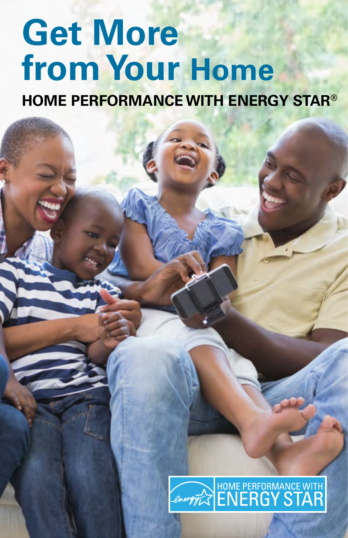# **Get More from Your Home**

**HOME PERFORMANCE WITH ENERGY STAR®**

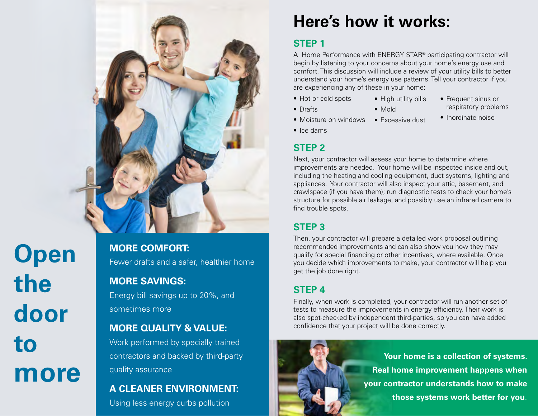

**Open the door to more** **MORE COMFORT:**  Fewer drafts and a safer, healthier home

### **MORE SAVINGS:**

Energy bill savings up to 20%, and sometimes more

### **MORE QUALITY & VALUE:**

Work performed by specially trained contractors and backed by third-party quality assurance

### **A CLEANER ENVIRONMENT:**

Using less energy curbs pollution

### **Here's how it works:**

### **STEP 1**

A Home Performance with ENERGY STAR**®** participating contractor will begin by listening to your concerns about your home's energy use and comfort. This discussion will include a review of your utility bills to better understand your home's energy use patterns. Tell your contractor if you are experiencing any of these in your home:

• High utility bills

• Mold

- Hot or cold spots
- Drafts
- Moisture on windows • Excessive dust
- Frequent sinus or respiratory problems
- Inordinate noise

• Ice dams

### **STEP 2**

Next, your contractor will assess your home to determine where improvements are needed. Your home will be inspected inside and out, including the heating and cooling equipment, duct systems, lighting and appliances. Your contractor will also inspect your attic, basement, and crawlspace (if you have them); run diagnostic tests to check your home's structure for possible air leakage; and possibly use an infrared camera to find trouble spots.

### **STEP 3**

Then, your contractor will prepare a detailed work proposal outlining recommended improvements and can also show you how they may qualify for special financing or other incentives, where available. Once you decide which improvements to make, your contractor will help you get the job done right.

### **STEP 4**

Finally, when work is completed, your contractor will run another set of tests to measure the improvements in energy efficiency. Their work is also spot-checked by independent third-parties, so you can have added confidence that your project will be done correctly.



**Your home is a collection of systems. Real home improvement happens when your contractor understands how to make those systems work better for you**.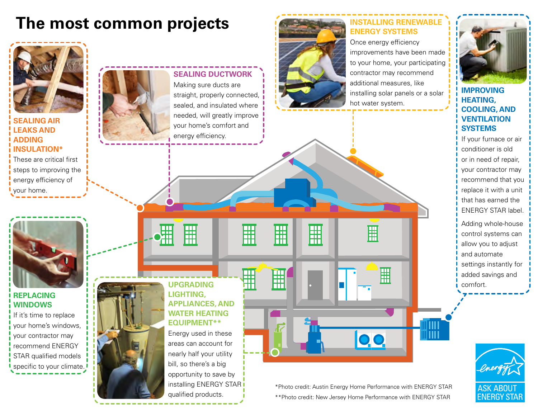### **The most common projects**



installing ENERGY STAR i

qualified products.

#### **INSTALLING RENEWABLE ENERGY SYSTEMS**

Once energy efficiency improvements have been made to your home, your participating contractor may recommend additional measures, like installing solar panels or a solar hot water system.

![](_page_2_Picture_4.jpeg)

#### **IMPROVING HEATING, COOLING, AND VENTILATION SYSTEMS**

If your furnace or air conditioner is old or in need of repair, your contractor may recommend that you replace it with a unit that has earned the ENERGY STAR label.

Adding whole-house control systems can allow you to adjust and automate settings instantly for added savings and comfort.

![](_page_2_Picture_8.jpeg)

#### \*Photo credit: Austin Energy Home Performance with ENERGY STAR \*\*Photo credit: New Jersey Home Performance with ENERGY STAR

00

開

團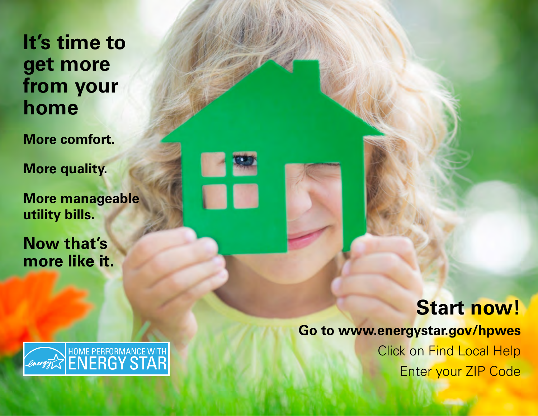## **It's time to get more from your home**

**More comfort.** 

**More quality.**

**More manageable utility bills.** 

**Now that's more like it.**

![](_page_3_Picture_5.jpeg)

![](_page_3_Picture_6.jpeg)

# **Start now!**

### **Go to www.energystar.gov/hpwes**

Click on Find Local Help Enter your ZIP Code